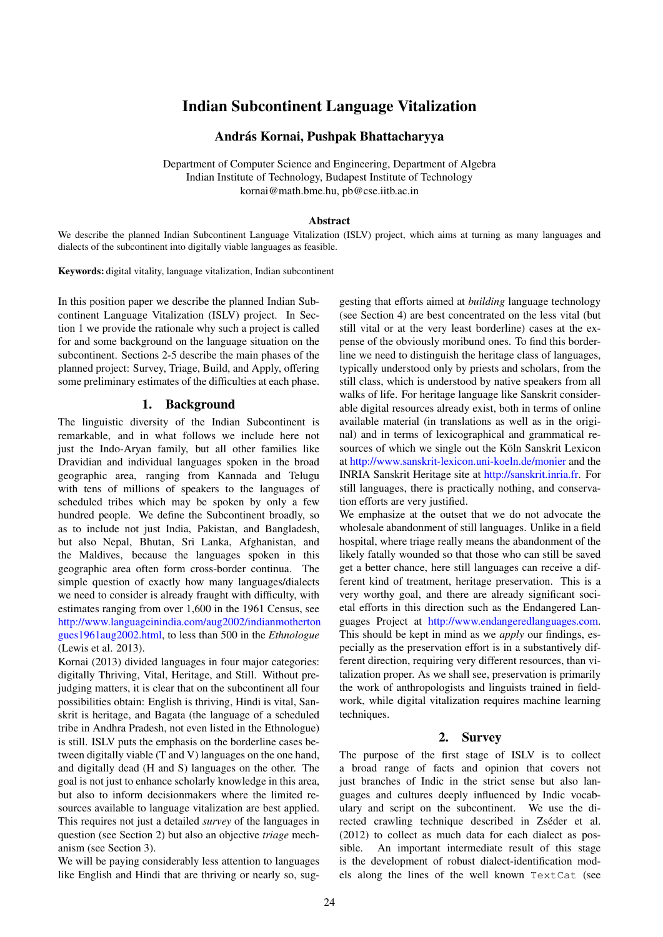# Indian Subcontinent Language Vitalization

# András Kornai, Pushpak Bhattacharyya

Department of Computer Science and Engineering, Department of Algebra Indian Institute of Technology, Budapest Institute of Technology kornai@math.bme.hu, pb@cse.iitb.ac.in

### Abstract

We describe the planned Indian Subcontinent Language Vitalization (ISLV) project, which aims at turning as many languages and dialects of the subcontinent into digitally viable languages as feasible.

Keywords: digital vitality, language vitalization, Indian subcontinent

In this position paper we describe the planned Indian Subcontinent Language Vitalization (ISLV) project. In Section 1 we provide the rationale why such a project is called for and some background on the language situation on the subcontinent. Sections 2-5 describe the main phases of the planned project: Survey, Triage, Build, and Apply, offering some preliminary estimates of the difficulties at each phase.

### 1. Background

The linguistic diversity of the Indian Subcontinent is remarkable, and in what follows we include here not just the Indo-Aryan family, but all other families like Dravidian and individual languages spoken in the broad geographic area, ranging from Kannada and Telugu with tens of millions of speakers to the languages of scheduled tribes which may be spoken by only a few hundred people. We define the Subcontinent broadly, so as to include not just India, Pakistan, and Bangladesh, but also Nepal, Bhutan, Sri Lanka, Afghanistan, and the Maldives, because the languages spoken in this geographic area often form cross-border continua. The simple question of exactly how many languages/dialects we need to consider is already fraught with difficulty, with estimates ranging from over 1,600 in the 1961 Census, see [http://www.languageinindia.com/aug2002/indianmotherton](http://www.languageinindia.com/aug2002/indianmothertongues1961aug2002.html) [gues1961aug2002.html,](http://www.languageinindia.com/aug2002/indianmothertongues1961aug2002.html) to less than 500 in the *Ethnologue* (Lewis et al. 2013).

Kornai (2013) divided languages in four major categories: digitally Thriving, Vital, Heritage, and Still. Without prejudging matters, it is clear that on the subcontinent all four possibilities obtain: English is thriving, Hindi is vital, Sanskrit is heritage, and Bagata (the language of a scheduled tribe in Andhra Pradesh, not even listed in the Ethnologue) is still. ISLV puts the emphasis on the borderline cases between digitally viable (T and V) languages on the one hand, and digitally dead (H and S) languages on the other. The goal is not just to enhance scholarly knowledge in this area, but also to inform decisionmakers where the limited resources available to language vitalization are best applied. This requires not just a detailed *survey* of the languages in question (see Section 2) but also an objective *triage* mechanism (see Section 3).

We will be paying considerably less attention to languages like English and Hindi that are thriving or nearly so, suggesting that efforts aimed at *building* language technology (see Section 4) are best concentrated on the less vital (but still vital or at the very least borderline) cases at the expense of the obviously moribund ones. To find this borderline we need to distinguish the heritage class of languages, typically understood only by priests and scholars, from the still class, which is understood by native speakers from all walks of life. For heritage language like Sanskrit considerable digital resources already exist, both in terms of online available material (in translations as well as in the original) and in terms of lexicographical and grammatical resources of which we single out the Köln Sanskrit Lexicon at <http://www.sanskrit-lexicon.uni-koeln.de/monier> and the INRIA Sanskrit Heritage site at [http://sanskrit.inria.fr.](http://sanskrit.inria.fr) For still languages, there is practically nothing, and conservation efforts are very justified.

We emphasize at the outset that we do not advocate the wholesale abandonment of still languages. Unlike in a field hospital, where triage really means the abandonment of the likely fatally wounded so that those who can still be saved get a better chance, here still languages can receive a different kind of treatment, heritage preservation. This is a very worthy goal, and there are already significant societal efforts in this direction such as the Endangered Languages Project at [http://www.endangeredlanguages.com.](http://www.endangeredlanguages.com) This should be kept in mind as we *apply* our findings, especially as the preservation effort is in a substantively different direction, requiring very different resources, than vitalization proper. As we shall see, preservation is primarily the work of anthropologists and linguists trained in fieldwork, while digital vitalization requires machine learning techniques.

### 2. Survey

The purpose of the first stage of ISLV is to collect a broad range of facts and opinion that covers not just branches of Indic in the strict sense but also languages and cultures deeply influenced by Indic vocabulary and script on the subcontinent. We use the directed crawling technique described in Zséder et al. (2012) to collect as much data for each dialect as possible. An important intermediate result of this stage is the development of robust dialect-identification models along the lines of the well known TextCat (see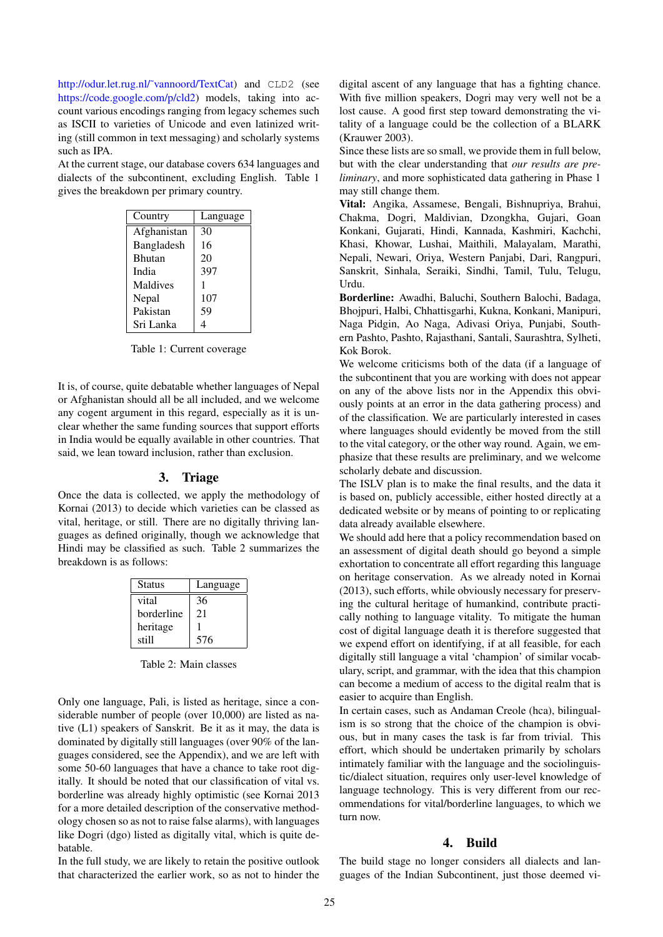http://odur.let.rug.nl/~vannoord/TextCat) and CLD2 (see [https://code.google.com/p/cld2\)](https://code.google.com/p/cld2) models, taking into account various encodings ranging from legacy schemes such as ISCII to varieties of Unicode and even latinized writing (still common in text messaging) and scholarly systems such as IPA.

At the current stage, our database covers 634 languages and dialects of the subcontinent, excluding English. Table 1 gives the breakdown per primary country.

| Country       | Language |
|---------------|----------|
| Afghanistan   | 30       |
| Bangladesh    | 16       |
| <b>Bhutan</b> | 20       |
| India         | 397      |
| Maldives      |          |
| Nepal         | 107      |
| Pakistan      | 59       |
| Sri Lanka     |          |

Table 1: Current coverage

It is, of course, quite debatable whether languages of Nepal or Afghanistan should all be all included, and we welcome any cogent argument in this regard, especially as it is unclear whether the same funding sources that support efforts in India would be equally available in other countries. That said, we lean toward inclusion, rather than exclusion.

## 3. Triage

Once the data is collected, we apply the methodology of Kornai (2013) to decide which varieties can be classed as vital, heritage, or still. There are no digitally thriving languages as defined originally, though we acknowledge that Hindi may be classified as such. Table 2 summarizes the breakdown is as follows:

| Status     | Language |
|------------|----------|
| vital      | 36       |
| borderline | 21       |
| heritage   |          |
| still      | 576      |

Table 2: Main classes

Only one language, Pali, is listed as heritage, since a considerable number of people (over 10,000) are listed as native (L1) speakers of Sanskrit. Be it as it may, the data is dominated by digitally still languages (over 90% of the languages considered, see the Appendix), and we are left with some 50-60 languages that have a chance to take root digitally. It should be noted that our classification of vital vs. borderline was already highly optimistic (see Kornai 2013 for a more detailed description of the conservative methodology chosen so as not to raise false alarms), with languages like Dogri (dgo) listed as digitally vital, which is quite debatable.

In the full study, we are likely to retain the positive outlook that characterized the earlier work, so as not to hinder the digital ascent of any language that has a fighting chance. With five million speakers, Dogri may very well not be a lost cause. A good first step toward demonstrating the vitality of a language could be the collection of a BLARK (Krauwer 2003).

Since these lists are so small, we provide them in full below, but with the clear understanding that *our results are preliminary*, and more sophisticated data gathering in Phase 1 may still change them.

Vital: Angika, Assamese, Bengali, Bishnupriya, Brahui, Chakma, Dogri, Maldivian, Dzongkha, Gujari, Goan Konkani, Gujarati, Hindi, Kannada, Kashmiri, Kachchi, Khasi, Khowar, Lushai, Maithili, Malayalam, Marathi, Nepali, Newari, Oriya, Western Panjabi, Dari, Rangpuri, Sanskrit, Sinhala, Seraiki, Sindhi, Tamil, Tulu, Telugu, Urdu.

Borderline: Awadhi, Baluchi, Southern Balochi, Badaga, Bhojpuri, Halbi, Chhattisgarhi, Kukna, Konkani, Manipuri, Naga Pidgin, Ao Naga, Adivasi Oriya, Punjabi, Southern Pashto, Pashto, Rajasthani, Santali, Saurashtra, Sylheti, Kok Borok.

We welcome criticisms both of the data (if a language of the subcontinent that you are working with does not appear on any of the above lists nor in the Appendix this obviously points at an error in the data gathering process) and of the classification. We are particularly interested in cases where languages should evidently be moved from the still to the vital category, or the other way round. Again, we emphasize that these results are preliminary, and we welcome scholarly debate and discussion.

The ISLV plan is to make the final results, and the data it is based on, publicly accessible, either hosted directly at a dedicated website or by means of pointing to or replicating data already available elsewhere.

We should add here that a policy recommendation based on an assessment of digital death should go beyond a simple exhortation to concentrate all effort regarding this language on heritage conservation. As we already noted in Kornai (2013), such efforts, while obviously necessary for preserving the cultural heritage of humankind, contribute practically nothing to language vitality. To mitigate the human cost of digital language death it is therefore suggested that we expend effort on identifying, if at all feasible, for each digitally still language a vital 'champion' of similar vocabulary, script, and grammar, with the idea that this champion can become a medium of access to the digital realm that is easier to acquire than English.

In certain cases, such as Andaman Creole (hca), bilingualism is so strong that the choice of the champion is obvious, but in many cases the task is far from trivial. This effort, which should be undertaken primarily by scholars intimately familiar with the language and the sociolinguistic/dialect situation, requires only user-level knowledge of language technology. This is very different from our recommendations for vital/borderline languages, to which we turn now.

#### 4. Build

The build stage no longer considers all dialects and languages of the Indian Subcontinent, just those deemed vi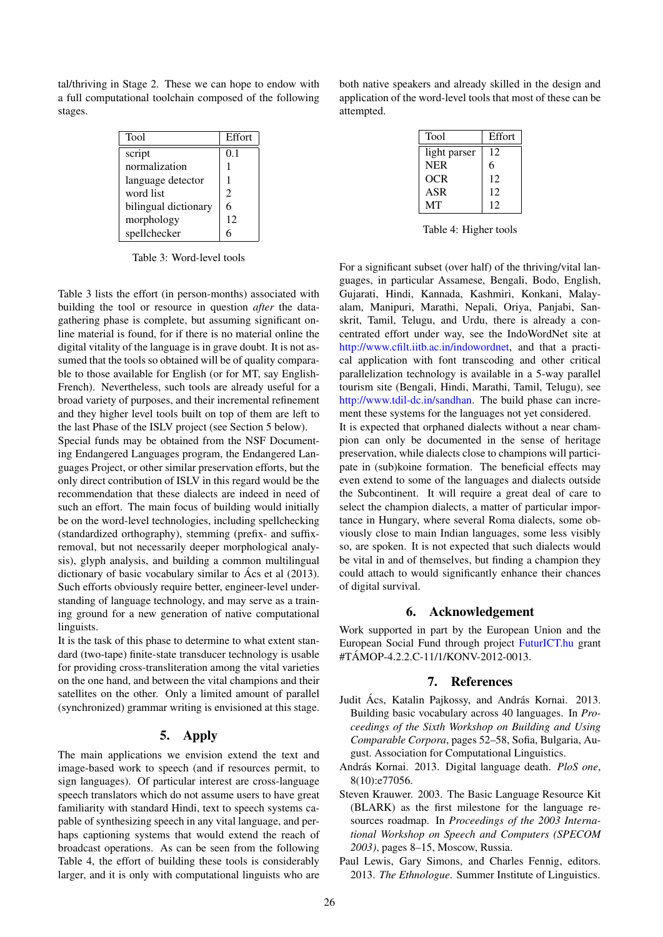tal/thriving in Stage 2. These we can hope to endow with a full computational toolchain composed of the following stages.

| <b>Tool</b>          | Effort |
|----------------------|--------|
| script               | 0.1    |
| normalization        |        |
| language detector    |        |
| word list            | 2      |
| bilingual dictionary | 6      |
| morphology           | 12     |
| spellchecker         |        |

Table 3: Word-level tools

Table 3 lists the effort (in person-months) associated with building the tool or resource in question *after* the datagathering phase is complete, but assuming significant online material is found, for if there is no material online the digital vitality of the language is in grave doubt. It is not assumed that the tools so obtained will be of quality comparable to those available for English (or for MT, say English-French). Nevertheless, such tools are already useful for a broad variety of purposes, and their incremental refinement and they higher level tools built on top of them are left to the last Phase of the ISLV project (see Section 5 below).

Special funds may be obtained from the NSF Documenting Endangered Languages program, the Endangered Languages Project, or other similar preservation efforts, but the only direct contribution of ISLV in this regard would be the recommendation that these dialects are indeed in need of such an effort. The main focus of building would initially be on the word-level technologies, including spellchecking (standardized orthography), stemming (prefix- and suffixremoval, but not necessarily deeper morphological analysis), glyph analysis, and building a common multilingual dictionary of basic vocabulary similar to Ács et al  $(2013)$ . Such efforts obviously require better, engineer-level understanding of language technology, and may serve as a training ground for a new generation of native computational linguists.

It is the task of this phase to determine to what extent standard (two-tape) finite-state transducer technology is usable for providing cross-transliteration among the vital varieties on the one hand, and between the vital champions and their satellites on the other. Only a limited amount of parallel (synchronized) grammar writing is envisioned at this stage.

# 5. Apply

The main applications we envision extend the text and image-based work to speech (and if resources permit, to sign languages). Of particular interest are cross-language speech translators which do not assume users to have great familiarity with standard Hindi, text to speech systems capable of synthesizing speech in any vital language, and perhaps captioning systems that would extend the reach of broadcast operations. As can be seen from the following Table 4, the effort of building these tools is considerably larger, and it is only with computational linguists who are both native speakers and already skilled in the design and application of the word-level tools that most of these can be attempted.

| Tool         | Effort |
|--------------|--------|
| light parser | 12     |
| <b>NER</b>   | 6      |
| <b>OCR</b>   | 12     |
| ASR          | 12     |
| MТ           | 12     |

Table 4: Higher tools

For a significant subset (over half) of the thriving/vital languages, in particular Assamese, Bengali, Bodo, English, Gujarati, Hindi, Kannada, Kashmiri, Konkani, Malayalam, Manipuri, Marathi, Nepali, Oriya, Panjabi, Sanskrit, Tamil, Telugu, and Urdu, there is already a concentrated effort under way, see the IndoWordNet site at [http://www.cfilt.iitb.ac.in/indowordnet,](http://www.cfilt.iitb.ac.in/indowordnet) and that a practical application with font transcoding and other critical parallelization technology is available in a 5-way parallel tourism site (Bengali, Hindi, Marathi, Tamil, Telugu), see [http://www.tdil-dc.in/sandhan.](http://www.tdil-dc.in/sandhan) The build phase can increment these systems for the languages not yet considered.

It is expected that orphaned dialects without a near champion can only be documented in the sense of heritage preservation, while dialects close to champions will participate in (sub)koine formation. The beneficial effects may even extend to some of the languages and dialects outside the Subcontinent. It will require a great deal of care to select the champion dialects, a matter of particular importance in Hungary, where several Roma dialects, some obviously close to main Indian languages, some less visibly so, are spoken. It is not expected that such dialects would be vital in and of themselves, but finding a champion they could attach to would significantly enhance their chances of digital survival.

## 6. Acknowledgement

Work supported in part by the European Union and the European Social Fund through project [FuturICT.hu](http://www.FuturICT.hu) grant #TAMOP-4.2.2.C-11/1/KONV-2012-0013. ´

# 7. References

- Judit Ács, Katalin Pajkossy, and András Kornai. 2013. Building basic vocabulary across 40 languages. In *Proceedings of the Sixth Workshop on Building and Using Comparable Corpora*, pages 52–58, Sofia, Bulgaria, August. Association for Computational Linguistics.
- András Kornai. 2013. Digital language death. *PloS one*, 8(10):e77056.
- Steven Krauwer. 2003. The Basic Language Resource Kit (BLARK) as the first milestone for the language resources roadmap. In *Proceedings of the 2003 International Workshop on Speech and Computers (SPECOM 2003)*, pages 8–15, Moscow, Russia.
- Paul Lewis, Gary Simons, and Charles Fennig, editors. 2013. *The Ethnologue*. Summer Institute of Linguistics.